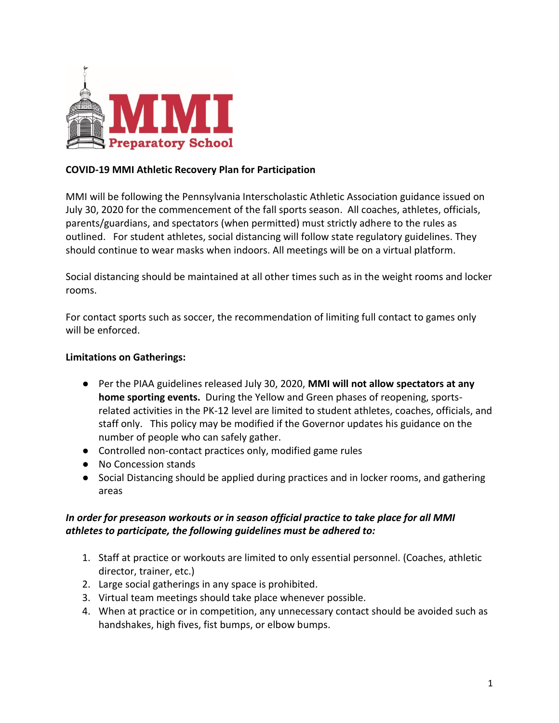

# **COVID-19 MMI Athletic Recovery Plan for Participation**

MMI will be following the Pennsylvania Interscholastic Athletic Association guidance issued on July 30, 2020 for the commencement of the fall sports season. All coaches, athletes, officials, parents/guardians, and spectators (when permitted) must strictly adhere to the rules as outlined. For student athletes, social distancing will follow state regulatory guidelines. They should continue to wear masks when indoors. All meetings will be on a virtual platform.

Social distancing should be maintained at all other times such as in the weight rooms and locker rooms.

For contact sports such as soccer, the recommendation of limiting full contact to games only will be enforced.

#### **Limitations on Gatherings:**

- Per the PIAA guidelines released July 30, 2020, **MMI will not allow spectators at any home sporting events.** During the Yellow and Green phases of reopening, sportsrelated activities in the PK-12 level are limited to student athletes, coaches, officials, and staff only. This policy may be modified if the Governor updates his guidance on the number of people who can safely gather.
- Controlled non-contact practices only, modified game rules
- No Concession stands
- Social Distancing should be applied during practices and in locker rooms, and gathering areas

# *In order for preseason workouts or in season official practice to take place for all MMI athletes to participate, the following guidelines must be adhered to:*

- 1. Staff at practice or workouts are limited to only essential personnel. (Coaches, athletic director, trainer, etc.)
- 2. Large social gatherings in any space is prohibited.
- 3. Virtual team meetings should take place whenever possible.
- 4. When at practice or in competition, any unnecessary contact should be avoided such as handshakes, high fives, fist bumps, or elbow bumps.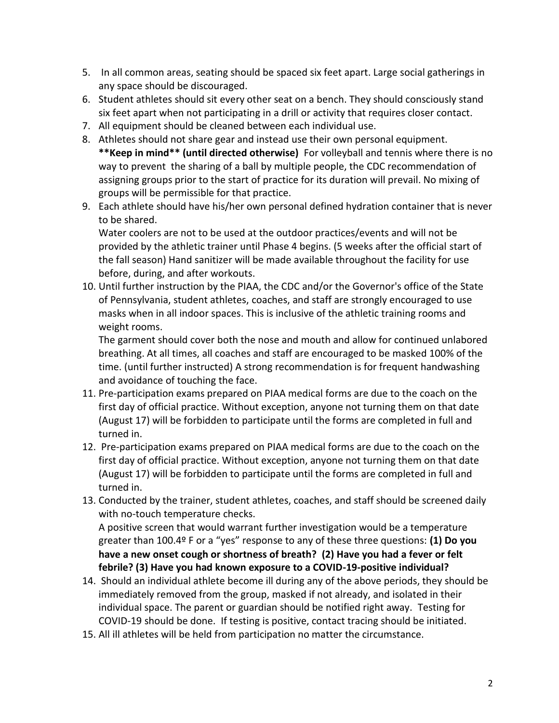- 5. In all common areas, seating should be spaced six feet apart. Large social gatherings in any space should be discouraged.
- 6. Student athletes should sit every other seat on a bench. They should consciously stand six feet apart when not participating in a drill or activity that requires closer contact.
- 7. All equipment should be cleaned between each individual use.
- 8. Athletes should not share gear and instead use their own personal equipment. **\*\*Keep in mind\*\* (until directed otherwise)** For volleyball and tennis where there is no way to prevent the sharing of a ball by multiple people, the CDC recommendation of assigning groups prior to the start of practice for its duration will prevail. No mixing of groups will be permissible for that practice.
- 9. Each athlete should have his/her own personal defined hydration container that is never to be shared.

Water coolers are not to be used at the outdoor practices/events and will not be provided by the athletic trainer until Phase 4 begins. (5 weeks after the official start of the fall season) Hand sanitizer will be made available throughout the facility for use before, during, and after workouts.

10. Until further instruction by the PIAA, the CDC and/or the Governor's office of the State of Pennsylvania, student athletes, coaches, and staff are strongly encouraged to use masks when in all indoor spaces. This is inclusive of the athletic training rooms and weight rooms.

The garment should cover both the nose and mouth and allow for continued unlabored breathing. At all times, all coaches and staff are encouraged to be masked 100% of the time. (until further instructed) A strong recommendation is for frequent handwashing and avoidance of touching the face.

- 11. Pre-participation exams prepared on PIAA medical forms are due to the coach on the first day of official practice. Without exception, anyone not turning them on that date (August 17) will be forbidden to participate until the forms are completed in full and turned in.
- 12. Pre-participation exams prepared on PIAA medical forms are due to the coach on the first day of official practice. Without exception, anyone not turning them on that date (August 17) will be forbidden to participate until the forms are completed in full and turned in.
- 13. Conducted by the trainer, student athletes, coaches, and staff should be screened daily with no-touch temperature checks.

A positive screen that would warrant further investigation would be a temperature greater than 100.4º F or a "yes" response to any of these three questions: **(1) Do you have a new onset cough or shortness of breath? (2) Have you had a fever or felt febrile? (3) Have you had known exposure to a COVID-19-positive individual?**

- 14. Should an individual athlete become ill during any of the above periods, they should be immediately removed from the group, masked if not already, and isolated in their individual space. The parent or guardian should be notified right away. Testing for COVID-19 should be done. If testing is positive, contact tracing should be initiated.
- 15. All ill athletes will be held from participation no matter the circumstance.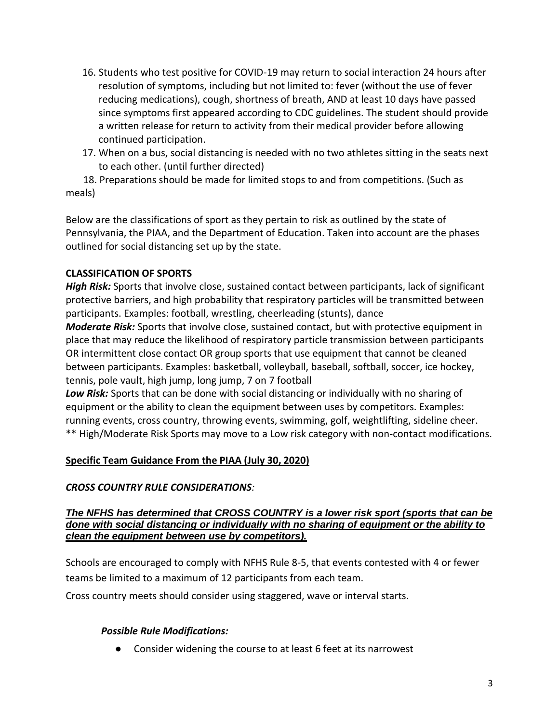- 16. Students who test positive for COVID-19 may return to social interaction 24 hours after resolution of symptoms, including but not limited to: fever (without the use of fever reducing medications), cough, shortness of breath, AND at least 10 days have passed since symptoms first appeared according to CDC guidelines. The student should provide a written release for return to activity from their medical provider before allowing continued participation.
- 17. When on a bus, social distancing is needed with no two athletes sitting in the seats next to each other. (until further directed)

 18. Preparations should be made for limited stops to and from competitions. (Such as meals)

Below are the classifications of sport as they pertain to risk as outlined by the state of Pennsylvania, the PIAA, and the Department of Education. Taken into account are the phases outlined for social distancing set up by the state.

# **CLASSIFICATION OF SPORTS**

*High Risk:* Sports that involve close, sustained contact between participants, lack of significant protective barriers, and high probability that respiratory particles will be transmitted between participants. Examples: football, wrestling, cheerleading (stunts), dance

*Moderate Risk:* Sports that involve close, sustained contact, but with protective equipment in place that may reduce the likelihood of respiratory particle transmission between participants OR intermittent close contact OR group sports that use equipment that cannot be cleaned between participants. Examples: basketball, volleyball, baseball, softball, soccer, ice hockey, tennis, pole vault, high jump, long jump, 7 on 7 football

*Low Risk:* Sports that can be done with social distancing or individually with no sharing of equipment or the ability to clean the equipment between uses by competitors. Examples: running events, cross country, throwing events, swimming, golf, weightlifting, sideline cheer. \*\* High/Moderate Risk Sports may move to a Low risk category with non-contact modifications.

## **Specific Team Guidance From the PIAA (July 30, 2020)**

## *CROSS COUNTRY RULE CONSIDERATIONS:*

#### *The NFHS has determined that CROSS COUNTRY is a lower risk sport (sports that can be done with social distancing or individually with no sharing of equipment or the ability to clean the equipment between use by competitors).*

Schools are encouraged to comply with NFHS Rule 8-5, that events contested with 4 or fewer teams be limited to a maximum of 12 participants from each team.

Cross country meets should consider using staggered, wave or interval starts.

## *Possible Rule Modifications:*

● Consider widening the course to at least 6 feet at its narrowest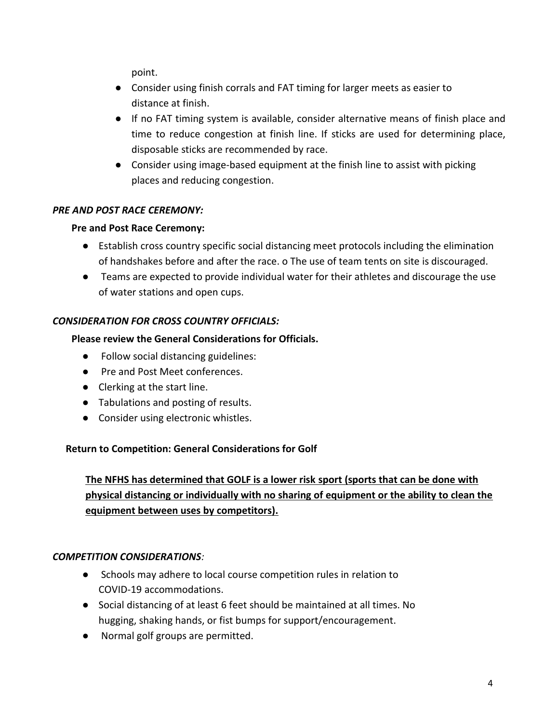point.

- Consider using finish corrals and FAT timing for larger meets as easier to distance at finish.
- If no FAT timing system is available, consider alternative means of finish place and time to reduce congestion at finish line. If sticks are used for determining place, disposable sticks are recommended by race.
- Consider using image-based equipment at the finish line to assist with picking places and reducing congestion.

# *PRE AND POST RACE CEREMONY:*

# **Pre and Post Race Ceremony:**

- Establish cross country specific social distancing meet protocols including the elimination of handshakes before and after the race. o The use of team tents on site is discouraged.
- Teams are expected to provide individual water for their athletes and discourage the use of water stations and open cups.

# *CONSIDERATION FOR CROSS COUNTRY OFFICIALS:*

# **Please review the General Considerations for Officials.**

- Follow social distancing guidelines:
- Pre and Post Meet conferences.
- Clerking at the start line.
- Tabulations and posting of results.
- Consider using electronic whistles.

## **Return to Competition: General Considerations for Golf**

**The NFHS has determined that GOLF is a lower risk sport (sports that can be done with physical distancing or individually with no sharing of equipment or the ability to clean the equipment between uses by competitors).** 

## *COMPETITION CONSIDERATIONS:*

- Schools may adhere to local course competition rules in relation to COVID-19 accommodations.
- Social distancing of at least 6 feet should be maintained at all times. No hugging, shaking hands, or fist bumps for support/encouragement.
- Normal golf groups are permitted.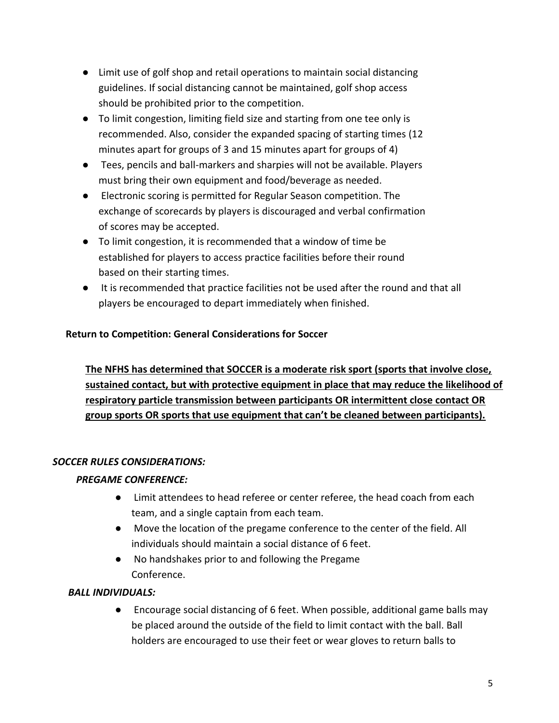- Limit use of golf shop and retail operations to maintain social distancing guidelines. If social distancing cannot be maintained, golf shop access should be prohibited prior to the competition.
- To limit congestion, limiting field size and starting from one tee only is recommended. Also, consider the expanded spacing of starting times (12 minutes apart for groups of 3 and 15 minutes apart for groups of 4)
- Tees, pencils and ball-markers and sharpies will not be available. Players must bring their own equipment and food/beverage as needed.
- Electronic scoring is permitted for Regular Season competition. The exchange of scorecards by players is discouraged and verbal confirmation of scores may be accepted.
- To limit congestion, it is recommended that a window of time be established for players to access practice facilities before their round based on their starting times.
- It is recommended that practice facilities not be used after the round and that all players be encouraged to depart immediately when finished.

# **Return to Competition: General Considerations for Soccer**

**The NFHS has determined that SOCCER is a moderate risk sport (sports that involve close, sustained contact, but with protective equipment in place that may reduce the likelihood of respiratory particle transmission between participants OR intermittent close contact OR group sports OR sports that use equipment that can't be cleaned between participants).** 

# *SOCCER RULES CONSIDERATIONS:*

# *PREGAME CONFERENCE:*

- Limit attendees to head referee or center referee, the head coach from each team, and a single captain from each team.
- Move the location of the pregame conference to the center of the field. All individuals should maintain a social distance of 6 feet.
- No handshakes prior to and following the Pregame Conference.

# *BALL INDIVIDUALS:*

● Encourage social distancing of 6 feet. When possible, additional game balls may be placed around the outside of the field to limit contact with the ball. Ball holders are encouraged to use their feet or wear gloves to return balls to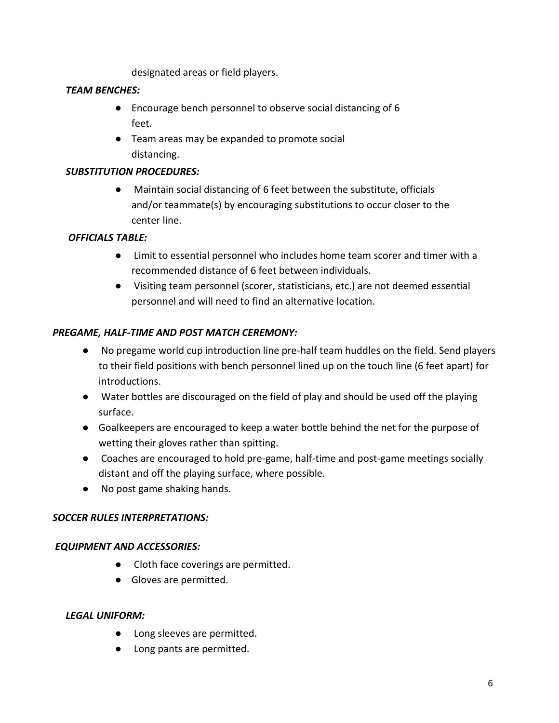designated areas or field players.

## *TEAM BENCHES:*

- Encourage bench personnel to observe social distancing of 6 feet.
- Team areas may be expanded to promote social distancing.

#### *SUBSTITUTION PROCEDURES:*

● Maintain social distancing of 6 feet between the substitute, officials and/or teammate(s) by encouraging substitutions to occur closer to the center line.

#### *OFFICIALS TABLE:*

- Limit to essential personnel who includes home team scorer and timer with a recommended distance of 6 feet between individuals.
- Visiting team personnel (scorer, statisticians, etc.) are not deemed essential personnel and will need to find an alternative location.

#### *PREGAME, HALF-TIME AND POST MATCH CEREMONY:*

- No pregame world cup introduction line pre-half team huddles on the field. Send players to their field positions with bench personnel lined up on the touch line (6 feet apart) for introductions.
- Water bottles are discouraged on the field of play and should be used off the playing surface.
- Goalkeepers are encouraged to keep a water bottle behind the net for the purpose of wetting their gloves rather than spitting.
- Coaches are encouraged to hold pre-game, half-time and post-game meetings socially distant and off the playing surface, where possible.
- No post game shaking hands.

## *SOCCER RULES INTERPRETATIONS:*

#### *EQUIPMENT AND ACCESSORIES:*

- Cloth face coverings are permitted.
- Gloves are permitted.

#### *LEGAL UNIFORM:*

- Long sleeves are permitted.
- Long pants are permitted.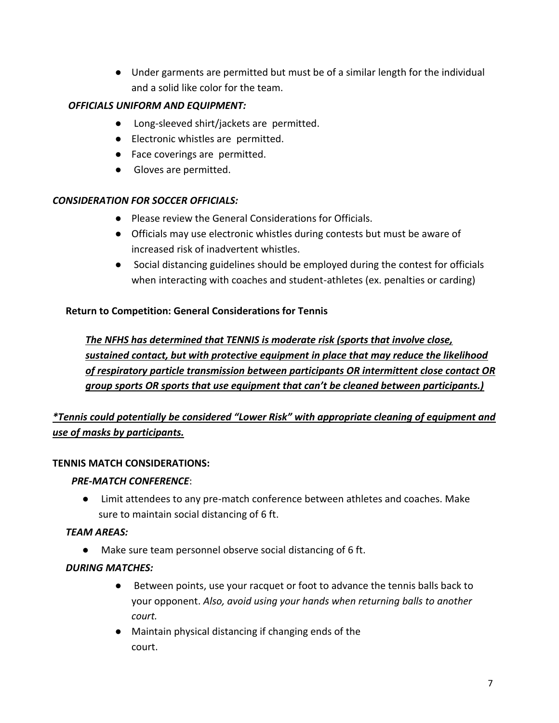● Under garments are permitted but must be of a similar length for the individual and a solid like color for the team.

# *OFFICIALS UNIFORM AND EQUIPMENT:*

- Long-sleeved shirt/jackets are permitted.
- Electronic whistles are permitted.
- Face coverings are permitted.
- Gloves are permitted.

# *CONSIDERATION FOR SOCCER OFFICIALS:*

- Please review the General Considerations for Officials.
- Officials may use electronic whistles during contests but must be aware of increased risk of inadvertent whistles.
- Social distancing guidelines should be employed during the contest for officials when interacting with coaches and student-athletes (ex. penalties or carding)

# **Return to Competition: General Considerations for Tennis**

*The NFHS has determined that TENNIS is moderate risk (sports that involve close, sustained contact, but with protective equipment in place that may reduce the likelihood of respiratory particle transmission between participants OR intermittent close contact OR group sports OR sports that use equipment that can't be cleaned between participants.)* 

# *\*Tennis could potentially be considered "Lower Risk" with appropriate cleaning of equipment and use of masks by participants.*

## **TENNIS MATCH CONSIDERATIONS:**

## *PRE-MATCH CONFERENCE*:

● Limit attendees to any pre-match conference between athletes and coaches. Make sure to maintain social distancing of 6 ft.

# *TEAM AREAS:*

● Make sure team personnel observe social distancing of 6 ft.

## *DURING MATCHES:*

- Between points, use your racquet or foot to advance the tennis balls back to your opponent. *Also, avoid using your hands when returning balls to another court.*
- Maintain physical distancing if changing ends of the court.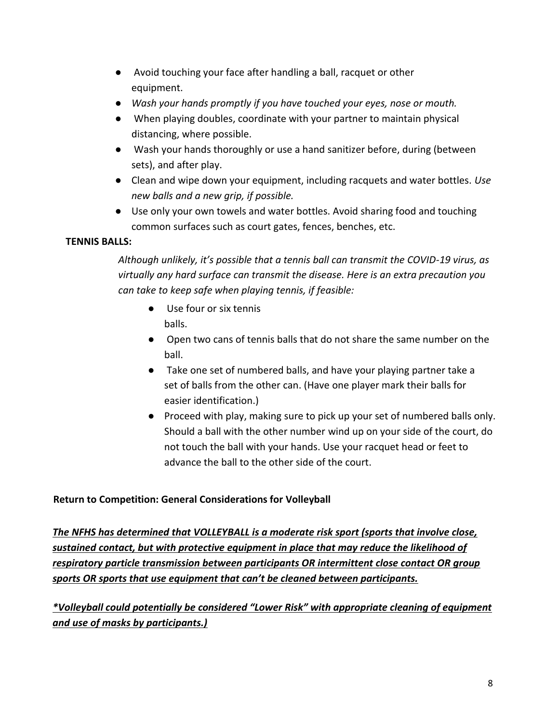- Avoid touching your face after handling a ball, racquet or other equipment.
- *Wash your hands promptly if you have touched your eyes, nose or mouth.*
- When playing doubles, coordinate with your partner to maintain physical distancing, where possible.
- Wash your hands thoroughly or use a hand sanitizer before, during (between sets), and after play.
- Clean and wipe down your equipment, including racquets and water bottles. *Use new balls and a new grip, if possible.*
- Use only your own towels and water bottles. Avoid sharing food and touching common surfaces such as court gates, fences, benches, etc.

# **TENNIS BALLS:**

*Although unlikely, it's possible that a tennis ball can transmit the COVID-19 virus, as virtually any hard surface can transmit the disease. Here is an extra precaution you can take to keep safe when playing tennis, if feasible:* 

- Use four or six tennis balls.
- Open two cans of tennis balls that do not share the same number on the ball.
- Take one set of numbered balls, and have your playing partner take a set of balls from the other can. (Have one player mark their balls for easier identification.)
- Proceed with play, making sure to pick up your set of numbered balls only. Should a ball with the other number wind up on your side of the court, do not touch the ball with your hands. Use your racquet head or feet to advance the ball to the other side of the court.

# **Return to Competition: General Considerations for Volleyball**

*The NFHS has determined that VOLLEYBALL is a moderate risk sport (sports that involve close, sustained contact, but with protective equipment in place that may reduce the likelihood of respiratory particle transmission between participants OR intermittent close contact OR group sports OR sports that use equipment that can't be cleaned between participants.* 

*\*Volleyball could potentially be considered "Lower Risk" with appropriate cleaning of equipment and use of masks by participants.)*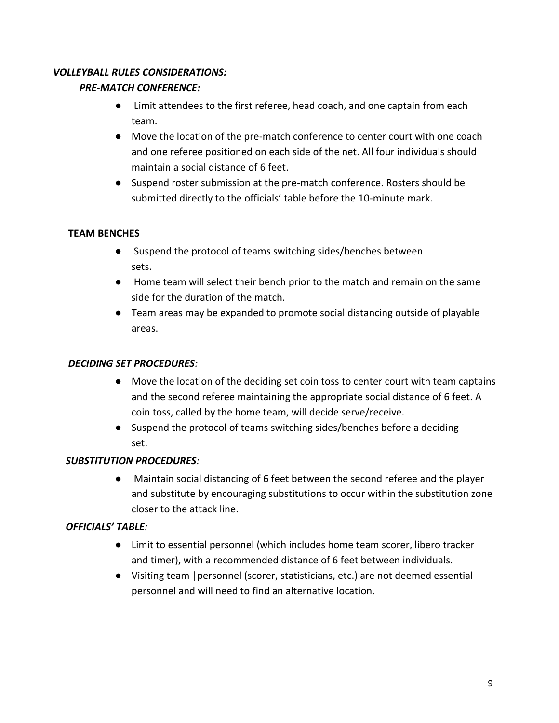# *VOLLEYBALL RULES CONSIDERATIONS:*

# *PRE-MATCH CONFERENCE:*

- Limit attendees to the first referee, head coach, and one captain from each team.
- Move the location of the pre-match conference to center court with one coach and one referee positioned on each side of the net. All four individuals should maintain a social distance of 6 feet.
- Suspend roster submission at the pre-match conference. Rosters should be submitted directly to the officials' table before the 10-minute mark.

# **TEAM BENCHES**

- Suspend the protocol of teams switching sides/benches between sets.
- Home team will select their bench prior to the match and remain on the same side for the duration of the match.
- Team areas may be expanded to promote social distancing outside of playable areas.

# *DECIDING SET PROCEDURES:*

- Move the location of the deciding set coin toss to center court with team captains and the second referee maintaining the appropriate social distance of 6 feet. A coin toss, called by the home team, will decide serve/receive.
- Suspend the protocol of teams switching sides/benches before a deciding set.

## *SUBSTITUTION PROCEDURES:*

● Maintain social distancing of 6 feet between the second referee and the player and substitute by encouraging substitutions to occur within the substitution zone closer to the attack line.

## *OFFICIALS' TABLE:*

- Limit to essential personnel (which includes home team scorer, libero tracker and timer), with a recommended distance of 6 feet between individuals.
- Visiting team |personnel (scorer, statisticians, etc.) are not deemed essential personnel and will need to find an alternative location.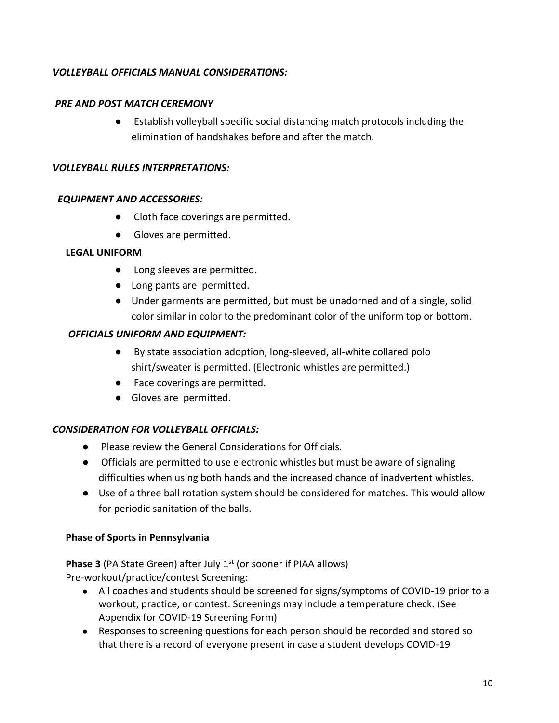# *VOLLEYBALL OFFICIALS MANUAL CONSIDERATIONS:*

#### *PRE AND POST MATCH CEREMONY*

● Establish volleyball specific social distancing match protocols including the elimination of handshakes before and after the match.

#### *VOLLEYBALL RULES INTERPRETATIONS:*

#### *EQUIPMENT AND ACCESSORIES:*

- Cloth face coverings are permitted.
- Gloves are permitted.

#### **LEGAL UNIFORM**

- Long sleeves are permitted.
- Long pants are permitted.
- Under garments are permitted, but must be unadorned and of a single, solid color similar in color to the predominant color of the uniform top or bottom.

#### *OFFICIALS UNIFORM AND EQUIPMENT:*

- By state association adoption, long-sleeved, all-white collared polo shirt/sweater is permitted. (Electronic whistles are permitted.)
- Face coverings are permitted.
- Gloves are permitted.

## *CONSIDERATION FOR VOLLEYBALL OFFICIALS:*

- Please review the General Considerations for Officials.
- Officials are permitted to use electronic whistles but must be aware of signaling difficulties when using both hands and the increased chance of inadvertent whistles.
- Use of a three ball rotation system should be considered for matches. This would allow for periodic sanitation of the balls.

## **Phase of Sports in Pennsylvania**

**Phase 3** (PA State Green) after July 1<sup>st</sup> (or sooner if PIAA allows)

Pre-workout/practice/contest Screening:

- All coaches and students should be screened for signs/symptoms of COVID-19 prior to a workout, practice, or contest. Screenings may include a temperature check. (See Appendix for COVID-19 Screening Form)
- Responses to screening questions for each person should be recorded and stored so that there is a record of everyone present in case a student develops COVID-19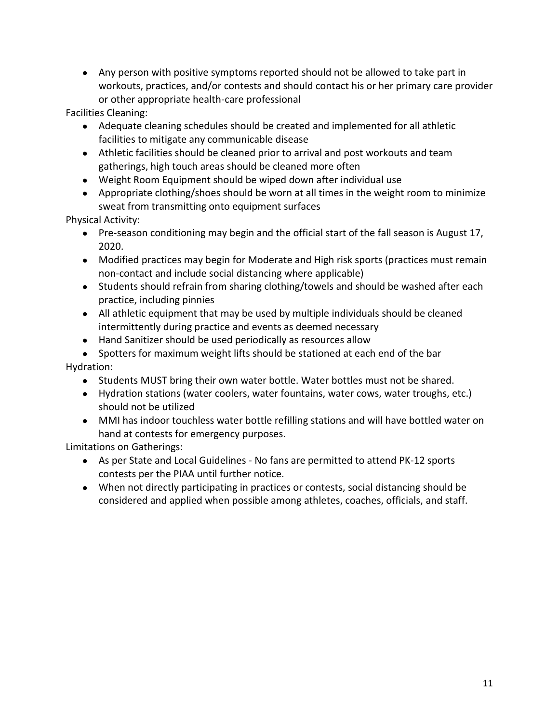● Any person with positive symptoms reported should not be allowed to take part in workouts, practices, and/or contests and should contact his or her primary care provider or other appropriate health-care professional

Facilities Cleaning:

- Adequate cleaning schedules should be created and implemented for all athletic facilities to mitigate any communicable disease
- Athletic facilities should be cleaned prior to arrival and post workouts and team gatherings, high touch areas should be cleaned more often
- Weight Room Equipment should be wiped down after individual use
- Appropriate clothing/shoes should be worn at all times in the weight room to minimize sweat from transmitting onto equipment surfaces

Physical Activity:

- Pre-season conditioning may begin and the official start of the fall season is August 17, 2020.
- Modified practices may begin for Moderate and High risk sports (practices must remain non-contact and include social distancing where applicable)
- Students should refrain from sharing clothing/towels and should be washed after each practice, including pinnies
- All athletic equipment that may be used by multiple individuals should be cleaned intermittently during practice and events as deemed necessary
- Hand Sanitizer should be used periodically as resources allow
- Spotters for maximum weight lifts should be stationed at each end of the bar Hydration:
	- Students MUST bring their own water bottle. Water bottles must not be shared.
	- Hydration stations (water coolers, water fountains, water cows, water troughs, etc.) should not be utilized
	- MMI has indoor touchless water bottle refilling stations and will have bottled water on hand at contests for emergency purposes.

Limitations on Gatherings:

- As per State and Local Guidelines No fans are permitted to attend PK-12 sports contests per the PIAA until further notice.
- When not directly participating in practices or contests, social distancing should be considered and applied when possible among athletes, coaches, officials, and staff.